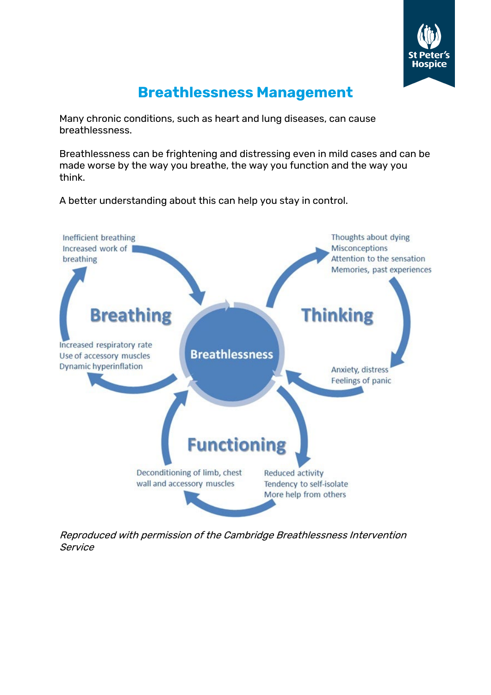

# **Breathlessness Management**

Many chronic conditions, such as heart and lung diseases, can cause breathlessness.

Breathlessness can be frightening and distressing even in mild cases and can be made worse by the way you breathe, the way you function and the way you think.

A better understanding about this can help you stay in control.



Reproduced with permission of the Cambridge Breathlessness Intervention Service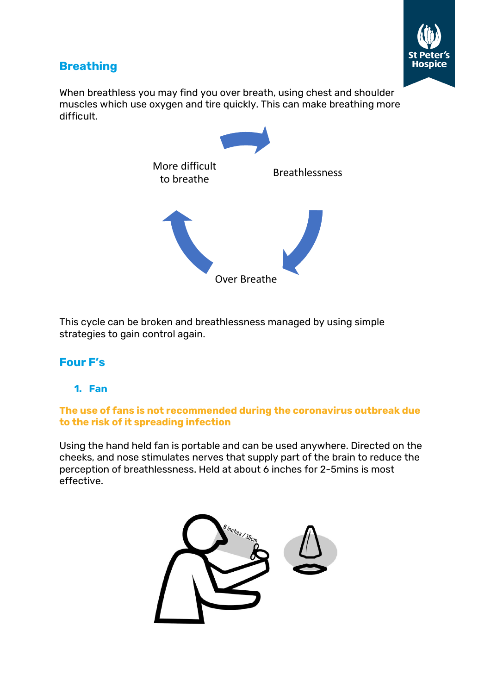

# **Breathing**

When breathless you may find you over breath, using chest and shoulder muscles which use oxygen and tire quickly. This can make breathing more difficult.



This cycle can be broken and breathlessness managed by using simple strategies to gain control again.

# **Four F's**

## **1. Fan**

#### **The use of fans is not recommended during the coronavirus outbreak due to the risk of it spreading infection**

Using the hand held fan is portable and can be used anywhere. Directed on the cheeks, and nose stimulates nerves that supply part of the brain to reduce the perception of breathlessness. Held at about 6 inches for 2-5mins is most effective.

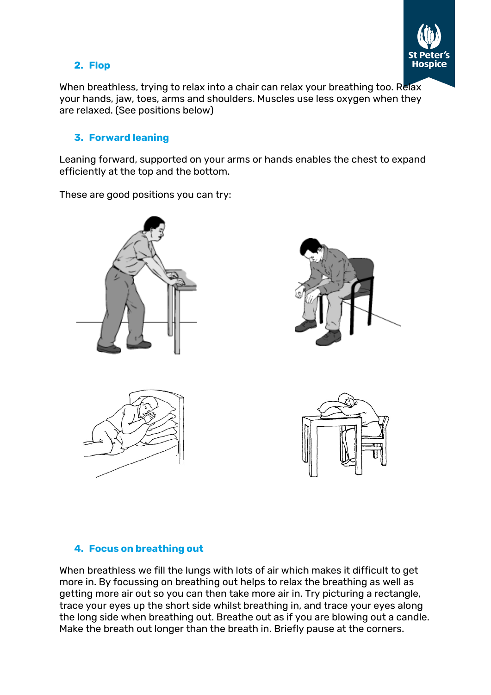

## **2. Flop**

When breathless, trying to relax into a chair can relax your breathing too. Relax your hands, jaw, toes, arms and shoulders. Muscles use less oxygen when they are relaxed. (See positions below)

#### **3. Forward leaning**

Leaning forward, supported on your arms or hands enables the chest to expand efficiently at the top and the bottom.

These are good positions you can try:



## **4. Focus on breathing out**

When breathless we fill the lungs with lots of air which makes it difficult to get more in. By focussing on breathing out helps to relax the breathing as well as getting more air out so you can then take more air in. Try picturing a rectangle, trace your eyes up the short side whilst breathing in, and trace your eyes along the long side when breathing out. Breathe out as if you are blowing out a candle. Make the breath out longer than the breath in. Briefly pause at the corners.